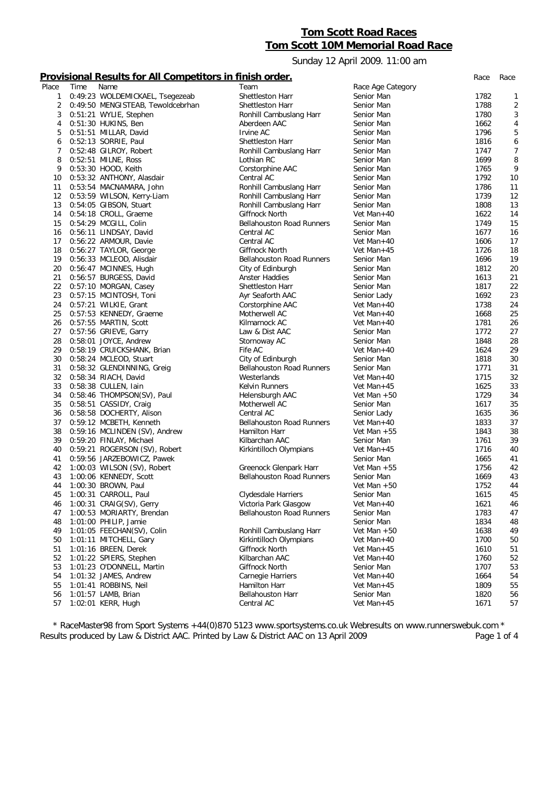## **Tom Scott Road Races Tom Scott 10M Memorial Road Race**

Sunday 12 April 2009. 11:00 am

## **Provisional Results for All Competitors in finish order.** *Race Race*

| Place | Time | Name                              | Team                             | Race Age Category |      |                |
|-------|------|-----------------------------------|----------------------------------|-------------------|------|----------------|
| 1     |      | 0:49:23 WOLDEMICKAEL, Tsegezeab   | Shettleston Harr                 | Senior Man        | 1782 | 1              |
| 2     |      | 0:49:50 MENGISTEAB, Tewoldcebrhan | Shettleston Harr                 | Senior Man        | 1788 | $\overline{2}$ |
| 3     |      | 0:51:21 WYLIE, Stephen            | Ronhill Cambuslang Harr          | Senior Man        | 1780 | $\sqrt{3}$     |
| 4     |      | 0:51:30 HUKINS, Ben               | Aberdeen AAC                     | Senior Man        | 1662 | $\overline{4}$ |
| 5     |      | 0:51:51 MILLAR, David             | Irvine AC                        | Senior Man        | 1796 | 5              |
| 6     |      | 0:52:13 SORRIE, Paul              | Shettleston Harr                 | Senior Man        | 1816 | 6              |
| 7     |      | 0:52:48 GILROY, Robert            | Ronhill Cambuslang Harr          | Senior Man        | 1747 | $\overline{7}$ |
| 8     |      | 0:52:51 MILNE, Ross               | Lothian RC                       | Senior Man        | 1699 | 8              |
| 9     |      | 0:53:30 HOOD, Keith               | Corstorphine AAC                 | Senior Man        | 1765 | 9              |
| 10    |      | 0:53:32 ANTHONY, Alasdair         | Central AC                       | Senior Man        | 1792 | 10             |
| 11    |      | 0:53:54 MACNAMARA, John           | Ronhill Cambuslang Harr          | Senior Man        | 1786 | 11             |
| 12    |      | 0:53:59 WILSON, Kerry-Liam        | Ronhill Cambuslang Harr          | Senior Man        | 1739 | 12             |
| 13    |      | 0:54:05 GIBSON, Stuart            | Ronhill Cambuslang Harr          | Senior Man        | 1808 | 13             |
| 14    |      | 0:54:18 CROLL, Graeme             | Giffnock North                   | Vet Man+40        | 1622 | 14             |
| 15    |      | 0:54:29 MCGILL, Colin             | <b>Bellahouston Road Runners</b> | Senior Man        | 1749 | 15             |
| 16    |      | 0:56:11 LINDSAY, David            | Central AC                       | Senior Man        | 1677 | 16             |
| 17    |      | 0:56:22 ARMOUR, Davie             | Central AC                       | Vet Man+40        | 1606 | 17             |
| 18    |      | 0:56:27 TAYLOR, George            | Giffnock North                   | Vet Man+45        | 1726 | 18             |
| 19    |      | 0:56:33 MCLEOD, Alisdair          | <b>Bellahouston Road Runners</b> | Senior Man        | 1696 | 19             |
|       |      |                                   |                                  | Senior Man        | 1812 |                |
| 20    |      | 0:56:47 MCINNES, Hugh             | City of Edinburgh                |                   |      | 20             |
| 21    |      | 0:56:57 BURGESS, David            | Anster Haddies                   | Senior Man        | 1613 | 21             |
| 22    |      | 0:57:10 MORGAN, Casey             | Shettleston Harr                 | Senior Man        | 1817 | 22             |
| 23    |      | 0:57:15 MCINTOSH, Toni            | Ayr Seaforth AAC                 | Senior Lady       | 1692 | 23             |
| 24    |      | 0:57:21 WILKIE, Grant             | Corstorphine AAC                 | Vet Man+40        | 1738 | 24             |
| 25    |      | 0:57:53 KENNEDY, Graeme           | Motherwell AC                    | Vet Man+40        | 1668 | 25             |
| 26    |      | 0:57:55 MARTIN, Scott             | Kilmarnock AC                    | Vet Man+40        | 1781 | 26             |
| 27    |      | 0:57:56 GRIEVE, Garry             | Law & Dist AAC                   | Senior Man        | 1772 | 27             |
| 28    |      | 0:58:01 JOYCE, Andrew             | Stornoway AC                     | Senior Man        | 1848 | 28             |
| 29    |      | 0:58:19 CRUICKSHANK, Brian        | Fife AC                          | Vet Man+40        | 1624 | 29             |
| 30    |      | 0:58:24 MCLEOD, Stuart            | City of Edinburgh                | Senior Man        | 1818 | 30             |
| 31    |      | 0:58:32 GLENDINNING, Greig        | <b>Bellahouston Road Runners</b> | Senior Man        | 1771 | 31             |
| 32    |      | 0:58:34 RIACH, David              | Westerlands                      | Vet Man+40        | 1715 | 32             |
| 33    |      | 0:58:38 CULLEN, lain              | Kelvin Runners                   | Vet Man+45        | 1625 | 33             |
| 34    |      | 0:58:46 THOMPSON(SV), Paul        | Helensburgh AAC                  | Vet Man $+50$     | 1729 | 34             |
| 35    |      | 0:58:51 CASSIDY, Craig            | Motherwell AC                    | Senior Man        | 1617 | 35             |
| 36    |      | 0:58:58 DOCHERTY, Alison          | Central AC                       | Senior Lady       | 1635 | 36             |
| 37    |      | 0:59:12 MCBETH, Kenneth           | <b>Bellahouston Road Runners</b> | Vet Man+40        | 1833 | 37             |
| 38    |      | 0:59:16 MCLINDEN (SV), Andrew     | Hamilton Harr                    | Vet Man $+55$     | 1843 | 38             |
| 39    |      | 0:59:20 FINLAY, Michael           | Kilbarchan AAC                   | Senior Man        | 1761 | 39             |
| 40    |      | 0:59:21 ROGERSON (SV), Robert     | Kirkintilloch Olympians          | Vet Man+45        | 1716 | 40             |
| 41    |      | 0:59:56 JARZEBOWICZ, Pawek        |                                  | Senior Man        | 1665 | 41             |
| 42    |      | 1:00:03 WILSON (SV), Robert       | Greenock Glenpark Harr           | Vet Man $+55$     | 1756 | 42             |
| 43    |      | 1:00:06 KENNEDY, Scott            | <b>Bellahouston Road Runners</b> | Senior Man        | 1669 | 43             |
| 44    |      | 1:00:30 BROWN, Paul               |                                  | Vet Man $+50$     | 1752 | 44             |
| 45    |      | 1:00:31 CARROLL, Paul             | Clydesdale Harriers              | Senior Man        | 1615 | 45             |
| 46    |      | 1:00:31 CRAIG(SV), Gerry          | Victoria Park Glasgow            | Vet Man+40        | 1621 | 46             |
| 47    |      | 1:00:53 MORIARTY, Brendan         | <b>Bellahouston Road Runners</b> | Senior Man        | 1783 | 47             |
| 48    |      | 1:01:00 PHILIP, Jamie             |                                  | Senior Man        | 1834 | 48             |
| 49    |      | 1:01:05 FEECHAN(SV), Colin        | Ronhill Cambuslang Harr          | Vet Man $+50$     | 1638 | 49             |
| 50    |      | 1:01:11 MITCHELL, Gary            | Kirkintilloch Olympians          | Vet Man+40        | 1700 | 50             |
| 51    |      | 1:01:16 BREEN, Derek              | Giffnock North                   | Vet Man+45        | 1610 | 51             |
| 52    |      | 1:01:22 SPIERS, Stephen           | Kilbarchan AAC                   | Vet Man+40        | 1760 | 52             |
| 53    |      | 1:01:23 O'DONNELL, Martin         | Giffnock North                   | Senior Man        | 1707 | 53             |
| 54    |      | 1:01:32 JAMES, Andrew             | Carnegie Harriers                | Vet Man+40        | 1664 | 54             |
| 55    |      | 1:01:41 ROBBINS, Neil             | Hamilton Harr                    | Vet Man+45        | 1809 | 55             |
| 56    |      | 1:01:57 LAMB, Brian               | <b>Bellahouston Harr</b>         | Senior Man        | 1820 | 56             |
| 57    |      | 1:02:01 KERR, Hugh                | Central AC                       | Vet Man+45        | 1671 | 57             |
|       |      |                                   |                                  |                   |      |                |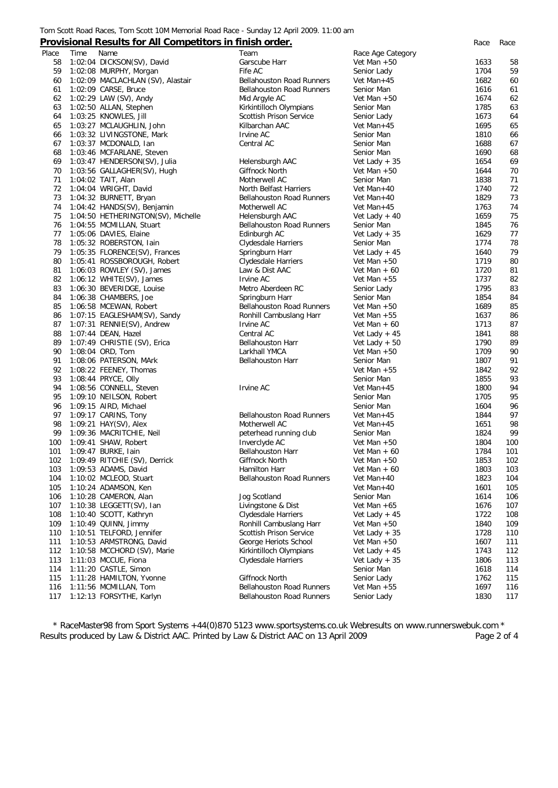#### Tom Scott Road Races, Tom Scott 10M Memorial Road Race - Sunday 12 April 2009. 11:00 am

# **Provisional Results for All Competitors in finish order.** *Race Race*

| Place | Time | Name                               | Team                             | Race Age Category |      |     |
|-------|------|------------------------------------|----------------------------------|-------------------|------|-----|
| 58    |      | 1:02:04 DICKSON(SV), David         | Garscube Harr                    | Vet Man $+50$     | 1633 | 58  |
| 59    |      | 1:02:08 MURPHY, Morgan             | Fife AC                          | Senior Lady       | 1704 | 59  |
| 60    |      | 1:02:09 MACLACHLAN (SV), Alastair  | <b>Bellahouston Road Runners</b> | Vet Man+45        | 1682 | 60  |
| 61    |      | 1:02:09 CARSE, Bruce               | <b>Bellahouston Road Runners</b> | Senior Man        | 1616 | 61  |
| 62    |      | 1:02:29 LAW (SV), Andy             | Mid Argyle AC                    | Vet Man $+50$     | 1674 | 62  |
| 63    |      | 1:02:50 ALLAN, Stephen             | Kirkintilloch Olympians          | Senior Man        | 1785 | 63  |
| 64    |      | 1:03:25 KNOWLES, Jill              | Scottish Prison Service          | Senior Lady       | 1673 | 64  |
| 65    |      | 1:03:27 MCLAUGHLIN, John           | Kilbarchan AAC                   | Vet Man+45        | 1695 | 65  |
| 66    |      | 1:03:32 LIVINGSTONE, Mark          | Irvine AC                        | Senior Man        | 1810 | 66  |
| 67    |      | 1:03:37 MCDONALD, Ian              | Central AC                       | Senior Man        | 1688 | 67  |
| 68    |      | 1:03:46 MCFARLANE, Steven          |                                  | Senior Man        | 1690 | 68  |
| 69    |      | 1:03:47 HENDERSON(SV), Julia       | Helensburgh AAC                  | Vet Lady $+35$    | 1654 | 69  |
| 70    |      |                                    | <b>Giffnock North</b>            | Vet Man $+50$     | 1644 | 70  |
|       |      | 1:03:56 GALLAGHER(SV), Hugh        |                                  |                   |      |     |
| 71    |      | 1:04:02 TAIT, Alan                 | Motherwell AC                    | Senior Man        | 1838 | 71  |
| 72    |      | 1:04:04 WRIGHT, David              | North Belfast Harriers           | Vet Man+40        | 1740 | 72  |
| 73    |      | 1:04:32 BURNETT, Bryan             | <b>Bellahouston Road Runners</b> | Vet Man+40        | 1829 | 73  |
| 74    |      | 1:04:42 HANDS(SV), Benjamin        | Motherwell AC                    | Vet Man+45        | 1763 | 74  |
| 75    |      | 1:04:50 HETHERINGTON(SV), Michelle | Helensburgh AAC                  | Vet Lady $+40$    | 1659 | 75  |
| 76    |      | 1:04:55 MCMILLAN, Stuart           | <b>Bellahouston Road Runners</b> | Senior Man        | 1845 | 76  |
| 77    |      | 1:05:06 DAVIES, Elaine             | Edinburgh AC                     | Vet Lady $+35$    | 1629 | 77  |
| 78    |      | 1:05:32 ROBERSTON, lain            | Clydesdale Harriers              | Senior Man        | 1774 | 78  |
| 79    |      | 1:05:35 FLORENCE(SV), Frances      | Springburn Harr                  | Vet Lady $+45$    | 1640 | 79  |
| 80    |      | 1:05:41 ROSSBOROUGH, Robert        | Clydesdale Harriers              | Vet Man $+50$     | 1719 | 80  |
| 81    |      | 1:06:03 ROWLEY (SV), James         | Law & Dist AAC                   | Vet Man $+60$     | 1720 | 81  |
| 82    |      | 1:06:12 WHITE(SV), James           | Irvine AC                        | Vet Man $+55$     | 1737 | 82  |
| 83    |      | 1:06:30 BEVERIDGE, Louise          | Metro Aberdeen RC                | Senior Lady       | 1795 | 83  |
| 84    |      | 1:06:38 CHAMBERS, Joe              | Springburn Harr                  | Senior Man        | 1854 | 84  |
| 85    |      | 1:06:58 MCEWAN, Robert             | <b>Bellahouston Road Runners</b> | Vet Man $+50$     | 1689 | 85  |
| 86    |      | 1:07:15 EAGLESHAM(SV), Sandy       | Ronhill Cambuslang Harr          | Vet Man $+55$     | 1637 | 86  |
| 87    |      | 1:07:31 RENNIE(SV), Andrew         | Irvine AC                        | Vet Man $+60$     | 1713 | 87  |
| 88    |      | 1:07:44 DEAN, Hazel                | Central AC                       | Vet Lady $+45$    | 1841 | 88  |
| 89    |      | 1:07:49 CHRISTIE (SV), Erica       | <b>Bellahouston Harr</b>         | Vet Lady $+50$    | 1790 | 89  |
| 90    |      | 1:08:04 ORD, Tom                   | Larkhall YMCA                    | Vet Man $+50$     | 1709 | 90  |
| 91    |      | 1:08:06 PATERSON, MArk             | <b>Bellahouston Harr</b>         | Senior Man        | 1807 | 91  |
| 92    |      | 1:08:22 FEENEY, Thomas             |                                  | Vet Man $+55$     | 1842 | 92  |
| 93    |      | 1:08:44 PRYCE, Olly                |                                  | Senior Man        | 1855 | 93  |
| 94    |      | 1:08:56 CONNELL, Steven            | Irvine AC                        | Vet Man+45        | 1800 | 94  |
| 95    |      | 1:09:10 NEILSON, Robert            |                                  | Senior Man        | 1705 | 95  |
| 96    |      |                                    |                                  | Senior Man        | 1604 | 96  |
| 97    |      | 1:09:15 AIRD, Michael              | <b>Bellahouston Road Runners</b> | Vet Man+45        | 1844 | 97  |
| 98    |      | 1:09:17 CARINS, Tony               |                                  |                   |      |     |
|       |      | 1:09:21 HAY(SV), Alex              | Motherwell AC                    | Vet Man+45        | 1651 | 98  |
| 99    |      | 1:09:36 MACRITCHIE, Neil           | peterhead running club           | Senior Man        | 1824 | 99  |
| 100   |      | 1:09:41 SHAW, Robert               | Inverclyde AC                    | Vet Man $+50$     | 1804 | 100 |
| 101   |      | 1:09:47 BURKE, Iain                | <b>Bellahouston Harr</b>         | Vet Man $+60$     | 1784 | 101 |
| 102   |      | 1:09:49 RITCHIE (SV), Derrick      | Giffnock North                   | Vet Man $+50$     | 1853 | 102 |
| 103   |      | 1:09:53 ADAMS, David               | Hamilton Harr                    | Vet Man $+60$     | 1803 | 103 |
| 104   |      | 1:10:02 MCLEOD, Stuart             | <b>Bellahouston Road Runners</b> | Vet Man+40        | 1823 | 104 |
| 105   |      | 1:10:24 ADAMSON, Ken               |                                  | Vet Man+40        | 1601 | 105 |
| 106   |      | 1:10:28 CAMERON, Alan              | Jog Scotland                     | Senior Man        | 1614 | 106 |
| 107   |      | 1:10:38 LEGGETT(SV), Ian           | Livingstone & Dist               | Vet Man $+65$     | 1676 | 107 |
| 108   |      | 1:10:40 SCOTT, Kathryn             | Clydesdale Harriers              | Vet Lady $+45$    | 1722 | 108 |
| 109   |      | $1:10:49$ QUINN, Jimmy             | Ronhill Cambuslang Harr          | Vet Man $+50$     | 1840 | 109 |
| 110   |      | 1:10:51 TELFORD, Jennifer          | Scottish Prison Service          | Vet Lady $+35$    | 1728 | 110 |
| 111   |      | 1:10:53 ARMSTRONG, David           | George Heriots School            | Vet Man $+50$     | 1607 | 111 |
| 112   |      | 1:10:58 MCCHORD (SV), Marie        | Kirkintilloch Olympians          | Vet Lady $+45$    | 1743 | 112 |
| 113   |      | 1:11:03 MCCUE, Fiona               | Clydesdale Harriers              | Vet Lady $+35$    | 1806 | 113 |
| 114   |      | 1:11:20 CASTLE, Simon              |                                  | Senior Man        | 1618 | 114 |
| 115   |      | 1:11:28 HAMILTON, Yvonne           | Giffnock North                   | Senior Lady       | 1762 | 115 |
| 116   |      | 1:11:56 MCMILLAN, Tom              | Bellahouston Road Runners        | Vet Man $+55$     | 1697 | 116 |
| 117   |      | 1:12:13 FORSYTHE, Karlyn           | <b>Bellahouston Road Runners</b> | Senior Lady       | 1830 | 117 |
|       |      |                                    |                                  |                   |      |     |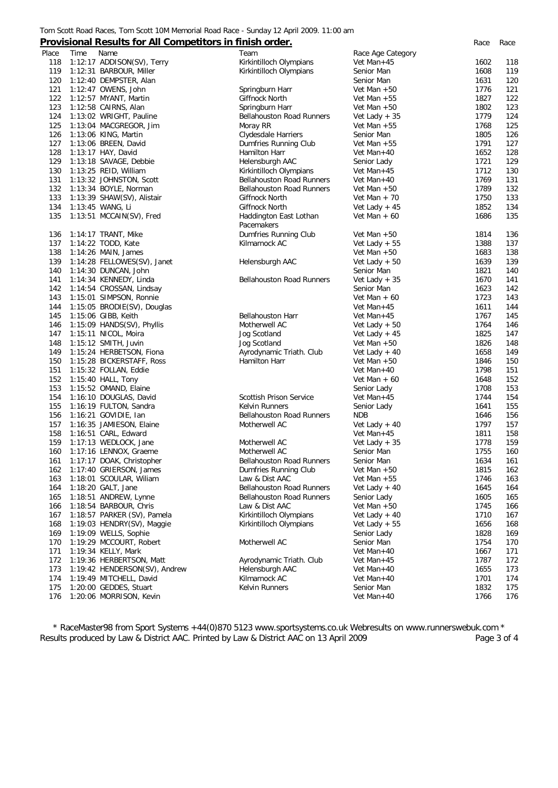#### Tom Scott Road Races, Tom Scott 10M Memorial Road Race - Sunday 12 April 2009. 11:00 am

### **Provisional Results for All Competitors in finish order.** *Race Race*

| Place | Name<br>Time                                       | Team                             | Race Age Category           |      |     |
|-------|----------------------------------------------------|----------------------------------|-----------------------------|------|-----|
| 118   | 1:12:17 ADDISON(SV), Terry                         | Kirkintilloch Olympians          | Vet Man+45                  | 1602 | 118 |
| 119   | 1:12:31 BARBOUR, Miller                            | Kirkintilloch Olympians          | Senior Man                  | 1608 | 119 |
| 120   | 1:12:40 DEMPSTER, Alan                             |                                  | Senior Man                  | 1631 | 120 |
| 121   | 1:12:47 OWENS, John                                | Springburn Harr                  | Vet Man $+50$               | 1776 | 121 |
| 122   | 1:12:57 MYANT, Martin                              | Giffnock North                   | Vet Man $+55$               | 1827 | 122 |
| 123   | 1:12:58 CAIRNS, Alan                               | Springburn Harr                  | Vet Man $+50$               | 1802 | 123 |
| 124   | 1:13:02 WRIGHT, Pauline                            | <b>Bellahouston Road Runners</b> | Vet Lady $+35$              | 1779 | 124 |
| 125   | 1:13:04 MACGREGOR, Jim                             | Moray RR                         | Vet Man $+55$               | 1768 | 125 |
| 126   | 1:13:06 KING, Martin                               | Clydesdale Harriers              | Senior Man                  | 1805 | 126 |
| 127   | 1:13:06 BREEN, David                               | Dumfries Running Club            | Vet Man $+55$               | 1791 | 127 |
| 128   | 1:13:17 HAY, David                                 | Hamilton Harr                    | Vet Man+40                  | 1652 | 128 |
| 129   | 1:13:18 SAVAGE, Debbie                             | Helensburgh AAC                  | Senior Lady                 | 1721 | 129 |
| 130   | 1:13:25 REID, William                              | Kirkintilloch Olympians          | Vet Man+45                  | 1712 | 130 |
| 131   | 1:13:32 JOHNSTON, Scott                            | Bellahouston Road Runners        | Vet Man+40                  | 1769 | 131 |
| 132   | 1:13:34 BOYLE, Norman                              | <b>Bellahouston Road Runners</b> | Vet Man $+50$               | 1789 | 132 |
| 133   | 1:13:39 SHAW(SV), Alistair                         | Giffnock North                   | Vet Man $+70$               | 1750 | 133 |
| 134   | 1:13:45 WANG, Li                                   | Giffnock North                   | Vet Lady $+45$              | 1852 | 134 |
| 135   | 1:13:51 MCCAIN(SV), Fred                           | Haddington East Lothan           | Vet Man $+60$               | 1686 | 135 |
|       |                                                    | Pacemakers                       |                             |      |     |
| 136   | 1:14:17 TRANT, Mike                                | Dumfries Running Club            | Vet Man $+50$               | 1814 | 136 |
| 137   | 1:14:22 TODD, Kate                                 | Kilmarnock AC                    | Vet Lady $+ 55$             | 1388 | 137 |
| 138   | 1:14:26 MAIN, James                                |                                  | Vet Man $+50$               | 1683 | 138 |
| 139   | 1:14:28 FELLOWES(SV), Janet                        | Helensburgh AAC                  | Vet Lady $+50$              | 1639 | 139 |
| 140   | 1:14:30 DUNCAN, John                               |                                  | Senior Man                  | 1821 | 140 |
| 141   |                                                    | <b>Bellahouston Road Runners</b> |                             | 1670 | 141 |
| 142   | 1:14:34 KENNEDY, Linda<br>1:14:54 CROSSAN, Lindsay |                                  | Vet Lady $+35$              | 1623 | 142 |
| 143   |                                                    |                                  | Senior Man<br>Vet Man $+60$ | 1723 | 143 |
|       | 1:15:01 SIMPSON, Ronnie                            |                                  |                             |      |     |
| 144   | 1:15:05 BRODIE(SV), Douglas                        |                                  | Vet Man+45                  | 1611 | 144 |
| 145   | 1:15:06 GIBB, Keith                                | <b>Bellahouston Harr</b>         | Vet Man+45                  | 1767 | 145 |
| 146   | 1:15:09 HANDS(SV), Phyllis                         | Motherwell AC                    | Vet Lady $+50$              | 1764 | 146 |
| 147   | 1:15:11 NICOL, Moira                               | Jog Scotland                     | Vet Lady $+45$              | 1825 | 147 |
| 148   | 1:15:12 SMITH, Juvin                               | Jog Scotland                     | Vet Man $+50$               | 1826 | 148 |
| 149   | 1:15:24 HERBETSON, Fiona                           | Ayrodynamic Triath. Club         | Vet Lady $+40$              | 1658 | 149 |
| 150   | 1:15:28 BICKERSTAFF, Ross                          | Hamilton Harr                    | Vet Man $+50$               | 1846 | 150 |
| 151   | 1:15:32 FOLLAN, Eddie                              |                                  | Vet Man+40                  | 1798 | 151 |
| 152   | 1:15:40 HALL, Tony                                 |                                  | Vet Man $+60$               | 1648 | 152 |
| 153   | 1:15:52 OMAND, Elaine                              |                                  | Senior Lady                 | 1708 | 153 |
| 154   | 1:16:10 DOUGLAS, David                             | <b>Scottish Prison Service</b>   | Vet Man+45                  | 1744 | 154 |
| 155   | 1:16:19 FULTON, Sandra                             | Kelvin Runners                   | Senior Lady                 | 1641 | 155 |
| 156   | 1:16:21 GOVIDIE, Ian                               | <b>Bellahouston Road Runners</b> | <b>NDB</b>                  | 1646 | 156 |
| 157   | 1:16:35 JAMIESON, Elaine                           | Motherwell AC                    | Vet Lady $+40$              | 1797 | 157 |
| 158   | 1:16:51 CARL, Edward                               |                                  | Vet Man+45                  | 1811 | 158 |
| 159   | 1:17:13 WEDLOCK, Jane                              | Motherwell AC                    | Vet Lady $+35$              | 1778 | 159 |
| 160   | 1:17:16 LENNOX, Graeme                             | Motherwell AC                    | Senior Man                  | 1755 | 160 |
| 161   | 1:17:17 DOAK, Christopher                          | <b>Bellahouston Road Runners</b> | Senior Man                  | 1634 | 161 |
| 162   | 1:17:40 GRIERSON, James                            | Dumfries Running Club            | Vet Man $+50$               | 1815 | 162 |
| 163   | 1:18:01 SCOULAR, William                           | Law & Dist AAC                   | Vet Man $+55$               | 1746 | 163 |
| 164   | 1:18:20 GALT, Jane                                 | <b>Bellahouston Road Runners</b> | Vet Lady $+40$              | 1645 | 164 |
| 165   | 1:18:51 ANDREW, Lynne                              | Bellahouston Road Runners        | Senior Lady                 | 1605 | 165 |
| 166   | 1:18:54 BARBOUR, Chris                             | Law & Dist AAC                   | Vet Man $+50$               | 1745 | 166 |
| 167   | 1:18:57 PARKER (SV), Pamela                        | Kirkintilloch Olympians          | Vet Lady $+40$              | 1710 | 167 |
| 168   | 1:19:03 HENDRY(SV), Maggie                         | Kirkintilloch Olympians          | Vet Lady $+ 55$             | 1656 | 168 |
| 169   | 1:19:09 WELLS, Sophie                              |                                  | Senior Lady                 | 1828 | 169 |
| 170   | 1:19:29 MCCOURT, Robert                            | Motherwell AC                    | Senior Man                  | 1754 | 170 |
| 171   | 1:19:34 KELLY, Mark                                |                                  | Vet Man+40                  | 1667 | 171 |
| 172   | 1:19:36 HERBERTSON, Matt                           | Ayrodynamic Triath. Club         | Vet Man+45                  | 1787 | 172 |
| 173   | 1:19:42 HENDERSON(SV), Andrew                      | Helensburgh AAC                  | Vet Man+40                  | 1655 | 173 |
| 174   | 1:19:49 MITCHELL, David                            | Kilmarnock AC                    | Vet Man+40                  | 1701 | 174 |
| 175   | 1:20:00 GEDDES, Stuart                             | Kelvin Runners                   | Senior Man                  | 1832 | 175 |
| 176   | 1:20:06 MORRISON, Kevin                            |                                  | Vet Man+40                  | 1766 | 176 |